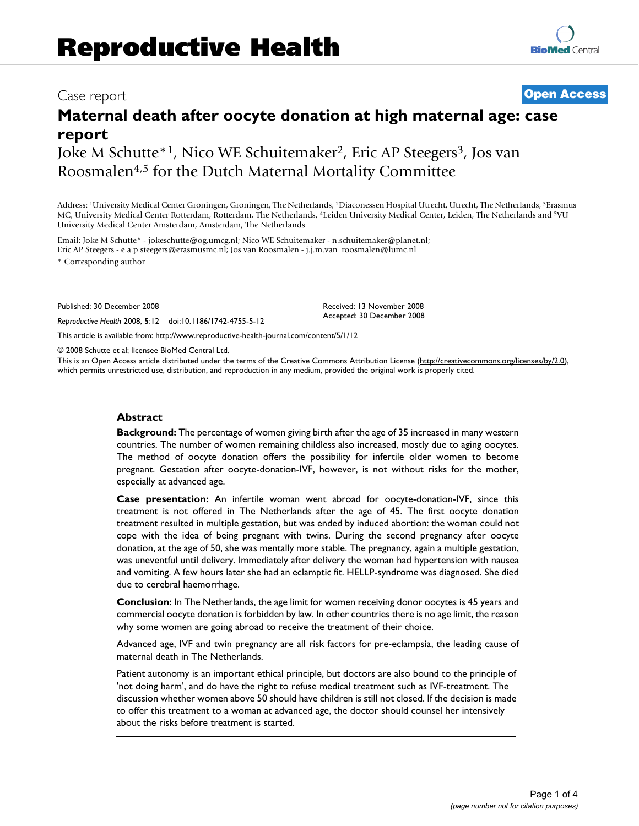## Case report **[Open Access](http://www.biomedcentral.com/info/about/charter/)**

# **Maternal death after oocyte donation at high maternal age: case report**

Joke M Schutte<sup>\*1</sup>, Nico WE Schuitemaker<sup>2</sup>, Eric AP Steegers<sup>3</sup>, Jos van Roosmalen4,5 for the Dutch Maternal Mortality Committee

Address: 1University Medical Center Groningen, Groningen, The Netherlands, 2Diaconessen Hospital Utrecht, Utrecht, The Netherlands, 3Erasmus MC, University Medical Center Rotterdam, Rotterdam, The Netherlands, 4Leiden University Medical Center, Leiden, The Netherlands and 5VU University Medical Center Amsterdam, Amsterdam, The Netherlands

Email: Joke M Schutte\* - jokeschutte@og.umcg.nl; Nico WE Schuitemaker - n.schuitemaker@planet.nl; Eric AP Steegers - e.a.p.steegers@erasmusmc.nl; Jos van Roosmalen - j.j.m.van\_roosmalen@lumc.nl

\* Corresponding author

Published: 30 December 2008

*Reproductive Health* 2008, **5**:12 doi:10.1186/1742-4755-5-12

Received: 13 November 2008 Accepted: 30 December 2008

[This article is available from: http://www.reproductive-health-journal.com/content/5/1/12](http://www.reproductive-health-journal.com/content/5/1/12)

© 2008 Schutte et al; licensee BioMed Central Ltd.

This is an Open Access article distributed under the terms of the Creative Commons Attribution License [\(http://creativecommons.org/licenses/by/2.0\)](http://creativecommons.org/licenses/by/2.0), which permits unrestricted use, distribution, and reproduction in any medium, provided the original work is properly cited.

#### **Abstract**

**Background:** The percentage of women giving birth after the age of 35 increased in many western countries. The number of women remaining childless also increased, mostly due to aging oocytes. The method of oocyte donation offers the possibility for infertile older women to become pregnant. Gestation after oocyte-donation-IVF, however, is not without risks for the mother, especially at advanced age.

**Case presentation:** An infertile woman went abroad for oocyte-donation-IVF, since this treatment is not offered in The Netherlands after the age of 45. The first oocyte donation treatment resulted in multiple gestation, but was ended by induced abortion: the woman could not cope with the idea of being pregnant with twins. During the second pregnancy after oocyte donation, at the age of 50, she was mentally more stable. The pregnancy, again a multiple gestation, was uneventful until delivery. Immediately after delivery the woman had hypertension with nausea and vomiting. A few hours later she had an eclamptic fit. HELLP-syndrome was diagnosed. She died due to cerebral haemorrhage.

**Conclusion:** In The Netherlands, the age limit for women receiving donor oocytes is 45 years and commercial oocyte donation is forbidden by law. In other countries there is no age limit, the reason why some women are going abroad to receive the treatment of their choice.

Advanced age, IVF and twin pregnancy are all risk factors for pre-eclampsia, the leading cause of maternal death in The Netherlands.

Patient autonomy is an important ethical principle, but doctors are also bound to the principle of 'not doing harm', and do have the right to refuse medical treatment such as IVF-treatment. The discussion whether women above 50 should have children is still not closed. If the decision is made to offer this treatment to a woman at advanced age, the doctor should counsel her intensively about the risks before treatment is started.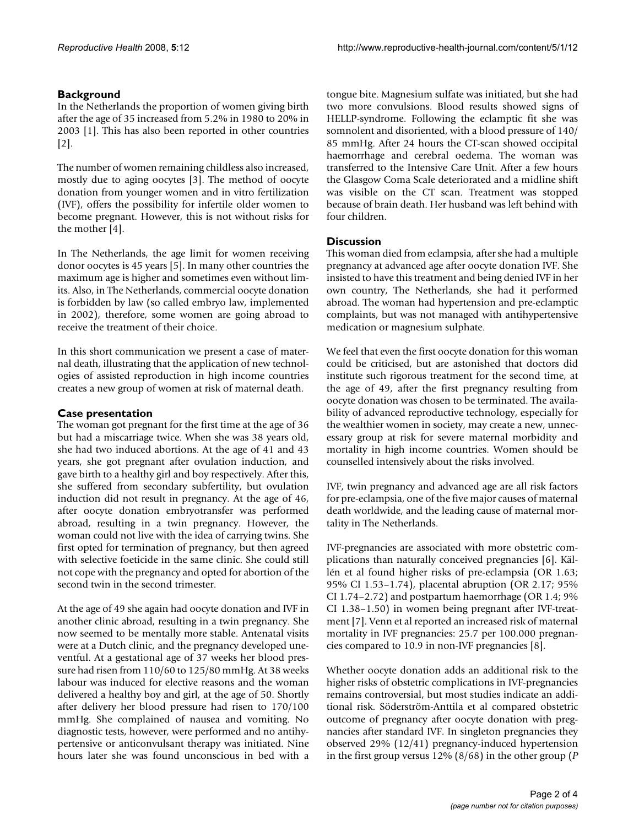### **Background**

In the Netherlands the proportion of women giving birth after the age of 35 increased from 5.2% in 1980 to 20% in 2003 [1]. This has also been reported in other countries [2].

The number of women remaining childless also increased, mostly due to aging oocytes [3]. The method of oocyte donation from younger women and in vitro fertilization (IVF), offers the possibility for infertile older women to become pregnant. However, this is not without risks for the mother [4].

In The Netherlands, the age limit for women receiving donor oocytes is 45 years [5]. In many other countries the maximum age is higher and sometimes even without limits. Also, in The Netherlands, commercial oocyte donation is forbidden by law (so called embryo law, implemented in 2002), therefore, some women are going abroad to receive the treatment of their choice.

In this short communication we present a case of maternal death, illustrating that the application of new technologies of assisted reproduction in high income countries creates a new group of women at risk of maternal death.

#### **Case presentation**

The woman got pregnant for the first time at the age of 36 but had a miscarriage twice. When she was 38 years old, she had two induced abortions. At the age of 41 and 43 years, she got pregnant after ovulation induction, and gave birth to a healthy girl and boy respectively. After this, she suffered from secondary subfertility, but ovulation induction did not result in pregnancy. At the age of 46, after oocyte donation embryotransfer was performed abroad, resulting in a twin pregnancy. However, the woman could not live with the idea of carrying twins. She first opted for termination of pregnancy, but then agreed with selective foeticide in the same clinic. She could still not cope with the pregnancy and opted for abortion of the second twin in the second trimester.

At the age of 49 she again had oocyte donation and IVF in another clinic abroad, resulting in a twin pregnancy. She now seemed to be mentally more stable. Antenatal visits were at a Dutch clinic, and the pregnancy developed uneventful. At a gestational age of 37 weeks her blood pressure had risen from 110/60 to 125/80 mmHg. At 38 weeks labour was induced for elective reasons and the woman delivered a healthy boy and girl, at the age of 50. Shortly after delivery her blood pressure had risen to 170/100 mmHg. She complained of nausea and vomiting. No diagnostic tests, however, were performed and no antihypertensive or anticonvulsant therapy was initiated. Nine hours later she was found unconscious in bed with a

tongue bite. Magnesium sulfate was initiated, but she had two more convulsions. Blood results showed signs of HELLP-syndrome. Following the eclamptic fit she was somnolent and disoriented, with a blood pressure of 140/ 85 mmHg. After 24 hours the CT-scan showed occipital haemorrhage and cerebral oedema. The woman was transferred to the Intensive Care Unit. After a few hours the Glasgow Coma Scale deteriorated and a midline shift was visible on the CT scan. Treatment was stopped because of brain death. Her husband was left behind with four children.

#### **Discussion**

This woman died from eclampsia, after she had a multiple pregnancy at advanced age after oocyte donation IVF. She insisted to have this treatment and being denied IVF in her own country, The Netherlands, she had it performed abroad. The woman had hypertension and pre-eclamptic complaints, but was not managed with antihypertensive medication or magnesium sulphate.

We feel that even the first oocyte donation for this woman could be criticised, but are astonished that doctors did institute such rigorous treatment for the second time, at the age of 49, after the first pregnancy resulting from oocyte donation was chosen to be terminated. The availability of advanced reproductive technology, especially for the wealthier women in society, may create a new, unnecessary group at risk for severe maternal morbidity and mortality in high income countries. Women should be counselled intensively about the risks involved.

IVF, twin pregnancy and advanced age are all risk factors for pre-eclampsia, one of the five major causes of maternal death worldwide, and the leading cause of maternal mortality in The Netherlands.

IVF-pregnancies are associated with more obstetric complications than naturally conceived pregnancies [6]. Källén et al found higher risks of pre-eclampsia (OR 1.63; 95% CI 1.53–1.74), placental abruption (OR 2.17; 95% CI 1.74–2.72) and postpartum haemorrhage (OR 1.4; 9% CI 1.38–1.50) in women being pregnant after IVF-treatment [7]. Venn et al reported an increased risk of maternal mortality in IVF pregnancies: 25.7 per 100.000 pregnancies compared to 10.9 in non-IVF pregnancies [8].

Whether oocyte donation adds an additional risk to the higher risks of obstetric complications in IVF-pregnancies remains controversial, but most studies indicate an additional risk. Söderström-Anttila et al compared obstetric outcome of pregnancy after oocyte donation with pregnancies after standard IVF. In singleton pregnancies they observed 29% (12/41) pregnancy-induced hypertension in the first group versus 12% (8/68) in the other group (*P*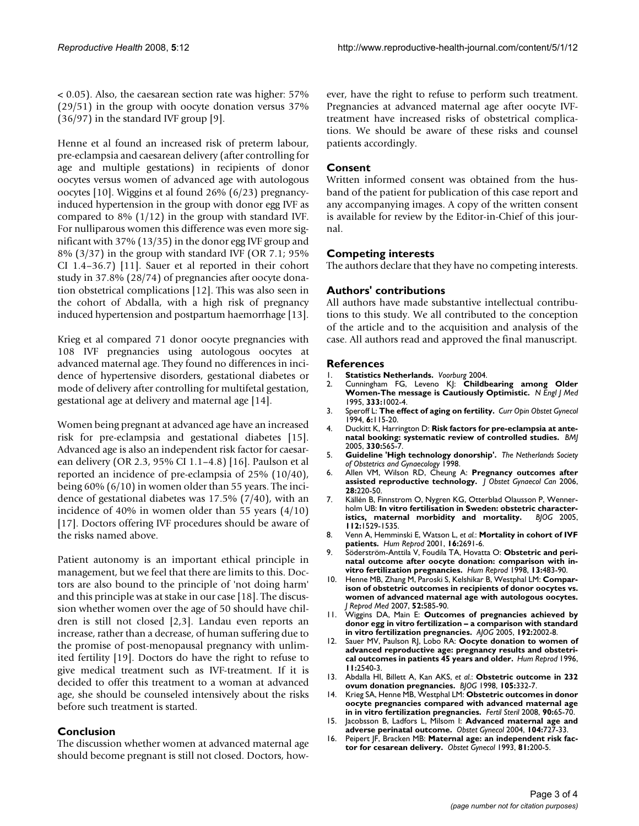$\leq$  0.05). Also, the caesarean section rate was higher: 57% (29/51) in the group with oocyte donation versus 37% (36/97) in the standard IVF group [9].

Henne et al found an increased risk of preterm labour, pre-eclampsia and caesarean delivery (after controlling for age and multiple gestations) in recipients of donor oocytes versus women of advanced age with autologous oocytes [10]. Wiggins et al found 26% (6/23) pregnancyinduced hypertension in the group with donor egg IVF as compared to  $8\%$  (1/12) in the group with standard IVF. For nulliparous women this difference was even more significant with 37% (13/35) in the donor egg IVF group and 8% (3/37) in the group with standard IVF (OR 7.1; 95% CI 1.4–36.7) [11]. Sauer et al reported in their cohort study in 37.8% (28/74) of pregnancies after oocyte donation obstetrical complications [12]. This was also seen in the cohort of Abdalla, with a high risk of pregnancy induced hypertension and postpartum haemorrhage [13].

Krieg et al compared 71 donor oocyte pregnancies with 108 IVF pregnancies using autologous oocytes at advanced maternal age. They found no differences in incidence of hypertensive disorders, gestational diabetes or mode of delivery after controlling for multifetal gestation, gestational age at delivery and maternal age [14].

Women being pregnant at advanced age have an increased risk for pre-eclampsia and gestational diabetes [15]. Advanced age is also an independent risk factor for caesarean delivery (OR 2.3, 95% CI 1.1–4.8) [16]. Paulson et al reported an incidence of pre-eclampsia of 25% (10/40), being 60% (6/10) in women older than 55 years. The incidence of gestational diabetes was 17.5% (7/40), with an incidence of 40% in women older than 55 years (4/10) [17]. Doctors offering IVF procedures should be aware of the risks named above.

Patient autonomy is an important ethical principle in management, but we feel that there are limits to this. Doctors are also bound to the principle of 'not doing harm' and this principle was at stake in our case [18]. The discussion whether women over the age of 50 should have children is still not closed [2,3]. Landau even reports an increase, rather than a decrease, of human suffering due to the promise of post-menopausal pregnancy with unlimited fertility [19]. Doctors do have the right to refuse to give medical treatment such as IVF-treatment. If it is decided to offer this treatment to a woman at advanced age, she should be counseled intensively about the risks before such treatment is started.

#### **Conclusion**

The discussion whether women at advanced maternal age should become pregnant is still not closed. Doctors, however, have the right to refuse to perform such treatment. Pregnancies at advanced maternal age after oocyte IVFtreatment have increased risks of obstetrical complications. We should be aware of these risks and counsel patients accordingly.

#### **Consent**

Written informed consent was obtained from the husband of the patient for publication of this case report and any accompanying images. A copy of the written consent is available for review by the Editor-in-Chief of this journal.

#### **Competing interests**

The authors declare that they have no competing interests.

#### **Authors' contributions**

All authors have made substantive intellectual contributions to this study. We all contributed to the conception of the article and to the acquisition and analysis of the case. All authors read and approved the final manuscript.

#### **References**

- 1. **Statistics Netherlands.** *Voorburg* 2004.
- 2. Cunningham FG, Leveno KJ: **[Childbearing among Older](http://www.ncbi.nlm.nih.gov/entrez/query.fcgi?cmd=Retrieve&db=PubMed&dopt=Abstract&list_uids=7666897) [Women-The message is Cautiously Optimistic.](http://www.ncbi.nlm.nih.gov/entrez/query.fcgi?cmd=Retrieve&db=PubMed&dopt=Abstract&list_uids=7666897)** *N Engl J Med* 1995, **333:**1002-4.
- 3. Speroff L: **[The effect of aging on fertility.](http://www.ncbi.nlm.nih.gov/entrez/query.fcgi?cmd=Retrieve&db=PubMed&dopt=Abstract&list_uids=8193249)** *Curr Opin Obstet Gynecol* 1994, **6:**115-20.
- 4. Duckitt K, Harrington D: **[Risk factors for pre-eclampsia at ante](http://www.ncbi.nlm.nih.gov/entrez/query.fcgi?cmd=Retrieve&db=PubMed&dopt=Abstract&list_uids=15743856)[natal booking: systematic review of controlled studies.](http://www.ncbi.nlm.nih.gov/entrez/query.fcgi?cmd=Retrieve&db=PubMed&dopt=Abstract&list_uids=15743856)** *BMJ* 2005, **330:**565-7.
- 5. **Guideline 'High technology donorship'.** *The Netherlands Society of Obstetrics and Gynaecology* 1998.
- 6. Allen VM, Wilson RD, Cheung A: **[Pregnancy outcomes after](http://www.ncbi.nlm.nih.gov/entrez/query.fcgi?cmd=Retrieve&db=PubMed&dopt=Abstract&list_uids=16650361) [assisted reproductive technology.](http://www.ncbi.nlm.nih.gov/entrez/query.fcgi?cmd=Retrieve&db=PubMed&dopt=Abstract&list_uids=16650361)** *J Obstet Gynaecol Can* 2006, **28:**220-50.
- 7. Källén B, Finnstrom O, Nygren KG, Otterblad Olausson P, Wennerholm UB: **[In vitro fertilisation in Sweden: obstetric character](http://www.ncbi.nlm.nih.gov/entrez/query.fcgi?cmd=Retrieve&db=PubMed&dopt=Abstract&list_uids=16225574)[istics, maternal morbidity and mortality.](http://www.ncbi.nlm.nih.gov/entrez/query.fcgi?cmd=Retrieve&db=PubMed&dopt=Abstract&list_uids=16225574)** *BJOG* 2005, **112:**1529-1535.
- 8. Venn A, Hemminski E, Watson L, *et al.*: **[Mortality in cohort of IVF](http://www.ncbi.nlm.nih.gov/entrez/query.fcgi?cmd=Retrieve&db=PubMed&dopt=Abstract&list_uids=11726597) [patients.](http://www.ncbi.nlm.nih.gov/entrez/query.fcgi?cmd=Retrieve&db=PubMed&dopt=Abstract&list_uids=11726597)** *Hum Reprod* 2001, **16:**2691-6.
- 9. Söderström-Anttila V, Foudila TA, Hovatta O: **[Obstetric and peri](http://www.ncbi.nlm.nih.gov/entrez/query.fcgi?cmd=Retrieve&db=PubMed&dopt=Abstract&list_uids=9557862)[natal outcome after oocyte donation: comparison with in](http://www.ncbi.nlm.nih.gov/entrez/query.fcgi?cmd=Retrieve&db=PubMed&dopt=Abstract&list_uids=9557862)[vitro fertilization pregnancies.](http://www.ncbi.nlm.nih.gov/entrez/query.fcgi?cmd=Retrieve&db=PubMed&dopt=Abstract&list_uids=9557862)** *Hum Reprod* 1998, **13:**483-90.
- 10. Henne MB, Zhang M, Paroski S, Kelshikar B, Westphal LM: **[Compar](http://www.ncbi.nlm.nih.gov/entrez/query.fcgi?cmd=Retrieve&db=PubMed&dopt=Abstract&list_uids=17847755)ison of obstetric outcomes in recipients of donor oocytes vs. [women of advanced maternal age with autologous oocytes.](http://www.ncbi.nlm.nih.gov/entrez/query.fcgi?cmd=Retrieve&db=PubMed&dopt=Abstract&list_uids=17847755)** *J Reprod Med* 2007, **52:**585-90.
- 11. Wiggins DA, Main E: **Outcomes of pregnancies achieved by donor egg in vitro fertilization – a comparison with standard in vitro fertilization pregnancies.** *AJOG* 2005, **192:**2002-8.
- 12. Sauer MV, Paulson RJ, Lobo RA: **[Oocyte donation to women of](http://www.ncbi.nlm.nih.gov/entrez/query.fcgi?cmd=Retrieve&db=PubMed&dopt=Abstract&list_uids=8981151) [advanced reproductive age: pregnancy results and obstetri](http://www.ncbi.nlm.nih.gov/entrez/query.fcgi?cmd=Retrieve&db=PubMed&dopt=Abstract&list_uids=8981151)[cal outcomes in patients 45 years and older.](http://www.ncbi.nlm.nih.gov/entrez/query.fcgi?cmd=Retrieve&db=PubMed&dopt=Abstract&list_uids=8981151)** *Hum Reprod* 1996, **11:**2540-3.
- 13. Abdalla HI, Billett A, Kan AKS, *et al.*: **Obstetric outcome in 232 ovum donation pregnancies.** *BJOG* 1998, **105:**332-7.
- 14. Krieg SA, Henne MB, Westphal LM: **[Obstetric outcomes in donor](http://www.ncbi.nlm.nih.gov/entrez/query.fcgi?cmd=Retrieve&db=PubMed&dopt=Abstract&list_uids=17727845) [oocyte pregnancies compared with advanced maternal age](http://www.ncbi.nlm.nih.gov/entrez/query.fcgi?cmd=Retrieve&db=PubMed&dopt=Abstract&list_uids=17727845) [in in vitro fertilization pregnancies.](http://www.ncbi.nlm.nih.gov/entrez/query.fcgi?cmd=Retrieve&db=PubMed&dopt=Abstract&list_uids=17727845)** *Fertil Steril* 2008, **90:**65-70.
- 15. Jacobsson B, Ladfors L, Milsom I: **[Advanced maternal age and](http://www.ncbi.nlm.nih.gov/entrez/query.fcgi?cmd=Retrieve&db=PubMed&dopt=Abstract&list_uids=15458893) [adverse perinatal outcome.](http://www.ncbi.nlm.nih.gov/entrez/query.fcgi?cmd=Retrieve&db=PubMed&dopt=Abstract&list_uids=15458893)** *Obstet Gynecol* 2004, **104:**727-33.
- 16. Peipert JF, Bracken MB: **[Maternal age: an independent risk fac](http://www.ncbi.nlm.nih.gov/entrez/query.fcgi?cmd=Retrieve&db=PubMed&dopt=Abstract&list_uids=8423950)[tor for cesarean delivery.](http://www.ncbi.nlm.nih.gov/entrez/query.fcgi?cmd=Retrieve&db=PubMed&dopt=Abstract&list_uids=8423950)** *Obstet Gynecol* 1993, **81:**200-5.